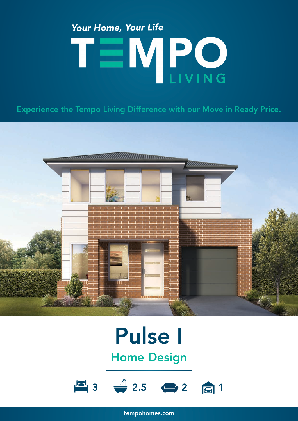# Your Home, Your Life TEMPO

Experience the Tempo Living Difference with our Move in Ready Price.



### Pulse I Home Design



tempohomes.com